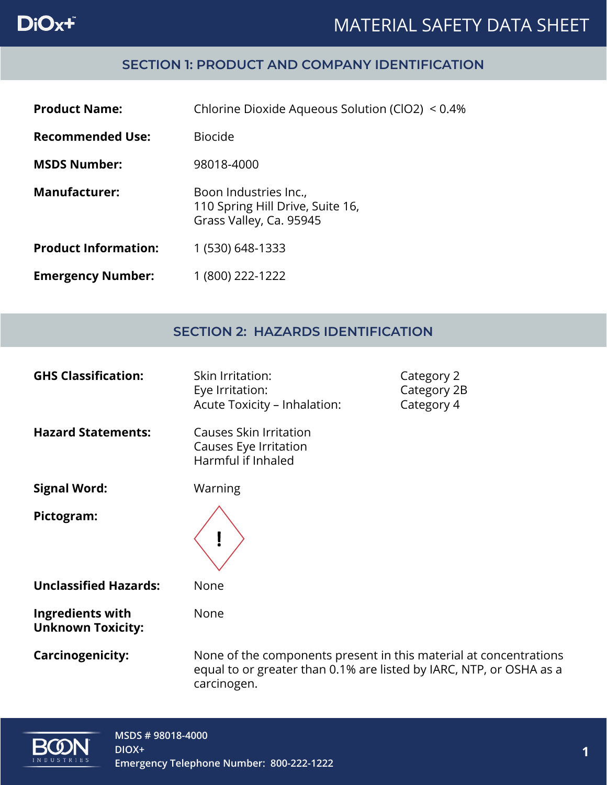# DiOx+

### MATERIAL SAFETY DATA SHEET

#### **SECTION 1: PRODUCT AND COMPANY IDENTIFICATION**

| <b>Product Name:</b>        | Chlorine Dioxide Aqueous Solution (ClO2) < 0.4%                                      |
|-----------------------------|--------------------------------------------------------------------------------------|
| <b>Recommended Use:</b>     | <b>Biocide</b>                                                                       |
| <b>MSDS Number:</b>         | 98018-4000                                                                           |
| <b>Manufacturer:</b>        | Boon Industries Inc.,<br>110 Spring Hill Drive, Suite 16,<br>Grass Valley, Ca. 95945 |
| <b>Product Information:</b> | 1 (530) 648-1333                                                                     |
| <b>Emergency Number:</b>    | 1 (800) 222-1222                                                                     |

#### **SECTION 2: HAZARDS IDENTIFICATION**

| <b>GHS Classification:</b>                          | Skin Irritation:<br>Eye Irritation:<br>Acute Toxicity - Inhalation:                                                                                     | Category 2<br>Category 2B<br>Category 4 |
|-----------------------------------------------------|---------------------------------------------------------------------------------------------------------------------------------------------------------|-----------------------------------------|
| <b>Hazard Statements:</b>                           | Causes Skin Irritation<br>Causes Eye Irritation<br>Harmful if Inhaled                                                                                   |                                         |
| <b>Signal Word:</b>                                 | Warning                                                                                                                                                 |                                         |
| Pictogram:                                          |                                                                                                                                                         |                                         |
| <b>Unclassified Hazards:</b>                        | None                                                                                                                                                    |                                         |
| <b>Ingredients with</b><br><b>Unknown Toxicity:</b> | None                                                                                                                                                    |                                         |
| <b>Carcinogenicity:</b>                             | None of the components present in this material at concentrations<br>equal to or greater than 0.1% are listed by IARC, NTP, or OSHA as a<br>carcinogen. |                                         |

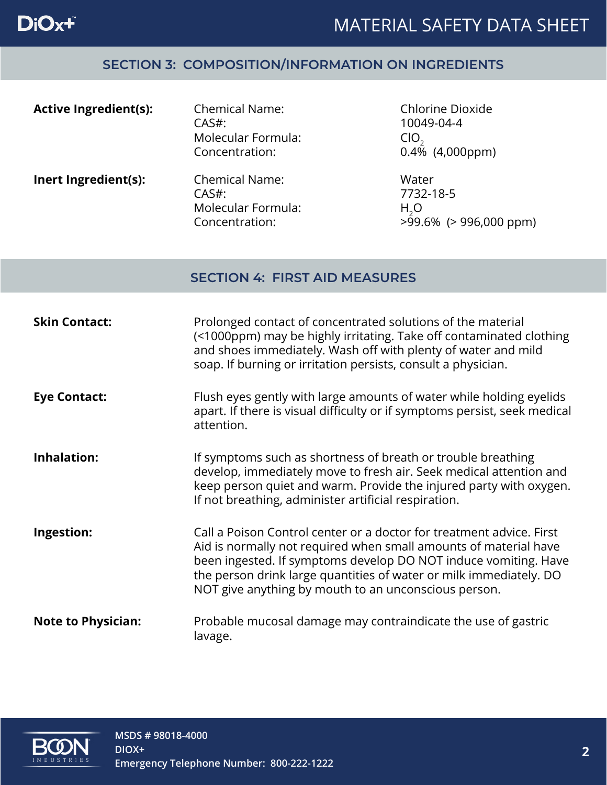### **SECTION 3: COMPOSITION/INFORMATION ON INGREDIENTS**

| <b>Active Ingredient(s):</b> | <b>Chemical Name:</b><br>$CAS#$ :<br>Molecular Formula:<br>Concentration: | Chlorine Dioxide<br>10049-04-4<br>CIO<br>$0.4\%$ (4,000ppm)           |
|------------------------------|---------------------------------------------------------------------------|-----------------------------------------------------------------------|
| Inert Ingredient(s):         | <b>Chemical Name:</b><br>$CAS#$ :<br>Molecular Formula:<br>Concentration: | Water<br>7732-18-5<br>H <sub>2</sub> O<br>$>99.6\%$ ( $>996,000$ ppm) |

#### **SECTION 4: FIRST AID MEASURES**

| <b>Skin Contact:</b>      | Prolonged contact of concentrated solutions of the material<br>(<1000ppm) may be highly irritating. Take off contaminated clothing<br>and shoes immediately. Wash off with plenty of water and mild<br>soap. If burning or irritation persists, consult a physician.                                                                      |
|---------------------------|-------------------------------------------------------------------------------------------------------------------------------------------------------------------------------------------------------------------------------------------------------------------------------------------------------------------------------------------|
| <b>Eye Contact:</b>       | Flush eyes gently with large amounts of water while holding eyelids<br>apart. If there is visual difficulty or if symptoms persist, seek medical<br>attention.                                                                                                                                                                            |
| <b>Inhalation:</b>        | If symptoms such as shortness of breath or trouble breathing<br>develop, immediately move to fresh air. Seek medical attention and<br>keep person quiet and warm. Provide the injured party with oxygen.<br>If not breathing, administer artificial respiration.                                                                          |
| Ingestion:                | Call a Poison Control center or a doctor for treatment advice. First<br>Aid is normally not required when small amounts of material have<br>been ingested. If symptoms develop DO NOT induce vomiting. Have<br>the person drink large quantities of water or milk immediately. DO<br>NOT give anything by mouth to an unconscious person. |
| <b>Note to Physician:</b> | Probable mucosal damage may contraindicate the use of gastric<br>lavage.                                                                                                                                                                                                                                                                  |

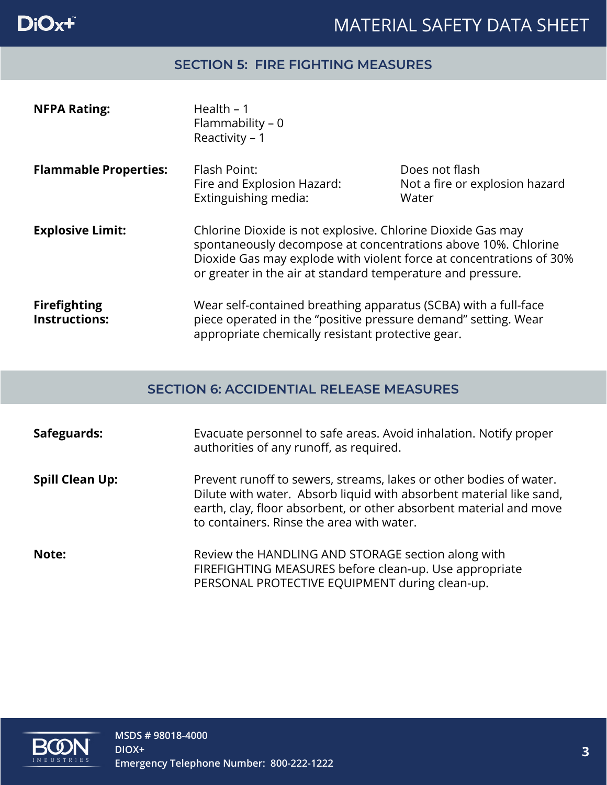

#### **SECTION 5: FIRE FIGHTING MEASURES**

| <b>NFPA Rating:</b>                         | Health $-1$<br>Flammability - 0<br>Reactivity - 1                                                                                                                                                                                                                  |                                                           |
|---------------------------------------------|--------------------------------------------------------------------------------------------------------------------------------------------------------------------------------------------------------------------------------------------------------------------|-----------------------------------------------------------|
| <b>Flammable Properties:</b>                | Flash Point:<br>Fire and Explosion Hazard:<br>Extinguishing media:                                                                                                                                                                                                 | Does not flash<br>Not a fire or explosion hazard<br>Water |
| <b>Explosive Limit:</b>                     | Chlorine Dioxide is not explosive. Chlorine Dioxide Gas may<br>spontaneously decompose at concentrations above 10%. Chlorine<br>Dioxide Gas may explode with violent force at concentrations of 30%<br>or greater in the air at standard temperature and pressure. |                                                           |
| <b>Firefighting</b><br><b>Instructions:</b> | Wear self-contained breathing apparatus (SCBA) with a full-face<br>piece operated in the "positive pressure demand" setting. Wear<br>appropriate chemically resistant protective gear.                                                                             |                                                           |

#### **SECTION 6: ACCIDENTIAL RELEASE MEASURES**

| Safeguards:            | Evacuate personnel to safe areas. Avoid inhalation. Notify proper<br>authorities of any runoff, as required.                                                                                                                                                 |
|------------------------|--------------------------------------------------------------------------------------------------------------------------------------------------------------------------------------------------------------------------------------------------------------|
| <b>Spill Clean Up:</b> | Prevent runoff to sewers, streams, lakes or other bodies of water.<br>Dilute with water. Absorb liquid with absorbent material like sand,<br>earth, clay, floor absorbent, or other absorbent material and move<br>to containers. Rinse the area with water. |
| Note:                  | Review the HANDLING AND STORAGE section along with<br>FIREFIGHTING MEASURES before clean-up. Use appropriate<br>PERSONAL PROTECTIVE EQUIPMENT during clean-up.                                                                                               |

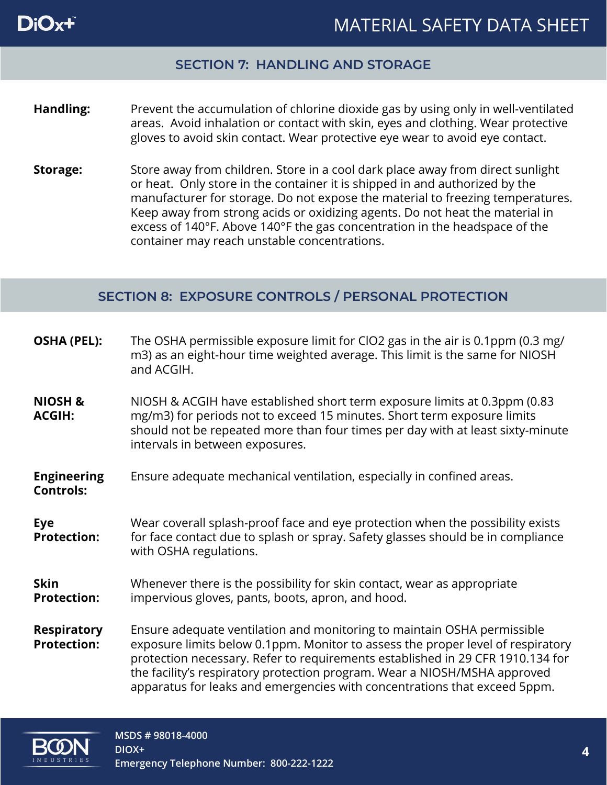

#### **SECTION 7: HANDLING AND STORAGE**

#### **Handling:** Prevent the accumulation of chlorine dioxide gas by using only in well-ventilated areas. Avoid inhalation or contact with skin, eyes and clothing. Wear protective gloves to avoid skin contact. Wear protective eye wear to avoid eye contact.

**Storage:** Store away from children. Store in a cool dark place away from direct sunlight or heat. Only store in the container it is shipped in and authorized by the manufacturer for storage. Do not expose the material to freezing temperatures. Keep away from strong acids or oxidizing agents. Do not heat the material in excess of 140°F. Above 140°F the gas concentration in the headspace of the container may reach unstable concentrations.

#### **SECTION 8: EXPOSURE CONTROLS / PERSONAL PROTECTION**

| <b>OSHA (PEL):</b>                       | The OSHA permissible exposure limit for ClO2 gas in the air is 0.1ppm (0.3 mg/<br>m3) as an eight-hour time weighted average. This limit is the same for NIOSH<br>and ACGIH.                                                                                                                                                                                                                           |
|------------------------------------------|--------------------------------------------------------------------------------------------------------------------------------------------------------------------------------------------------------------------------------------------------------------------------------------------------------------------------------------------------------------------------------------------------------|
| <b>NIOSH &amp;</b><br><b>ACGIH:</b>      | NIOSH & ACGIH have established short term exposure limits at 0.3ppm (0.83<br>mg/m3) for periods not to exceed 15 minutes. Short term exposure limits<br>should not be repeated more than four times per day with at least sixty-minute<br>intervals in between exposures.                                                                                                                              |
| <b>Engineering</b><br><b>Controls:</b>   | Ensure adequate mechanical ventilation, especially in confined areas.                                                                                                                                                                                                                                                                                                                                  |
| <b>Eye</b><br><b>Protection:</b>         | Wear coverall splash-proof face and eye protection when the possibility exists<br>for face contact due to splash or spray. Safety glasses should be in compliance<br>with OSHA regulations.                                                                                                                                                                                                            |
| <b>Skin</b><br><b>Protection:</b>        | Whenever there is the possibility for skin contact, wear as appropriate<br>impervious gloves, pants, boots, apron, and hood.                                                                                                                                                                                                                                                                           |
| <b>Respiratory</b><br><b>Protection:</b> | Ensure adequate ventilation and monitoring to maintain OSHA permissible<br>exposure limits below 0.1ppm. Monitor to assess the proper level of respiratory<br>protection necessary. Refer to requirements established in 29 CFR 1910.134 for<br>the facility's respiratory protection program. Wear a NIOSH/MSHA approved<br>apparatus for leaks and emergencies with concentrations that exceed 5ppm. |

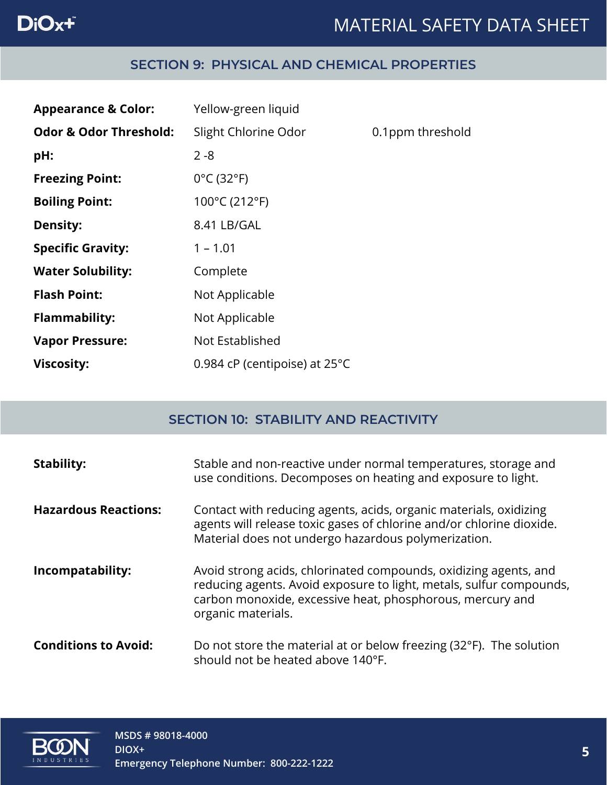## DiOx+

### MATERIAL SAFETY DATA SHEET

#### **SECTION 9: PHYSICAL AND CHEMICAL PROPERTIES**

| <b>Appearance &amp; Color:</b>    | Yellow-green liquid             |                  |
|-----------------------------------|---------------------------------|------------------|
| <b>Odor &amp; Odor Threshold:</b> | Slight Chlorine Odor            | 0.1ppm threshold |
| pH:                               | $2 - 8$                         |                  |
| <b>Freezing Point:</b>            | $0^{\circ}$ C (32 $^{\circ}$ F) |                  |
| <b>Boiling Point:</b>             | 100°C (212°F)                   |                  |
| <b>Density:</b>                   | 8.41 LB/GAL                     |                  |
| <b>Specific Gravity:</b>          | $1 - 1.01$                      |                  |
| <b>Water Solubility:</b>          | Complete                        |                  |
| <b>Flash Point:</b>               | Not Applicable                  |                  |
| <b>Flammability:</b>              | Not Applicable                  |                  |
| <b>Vapor Pressure:</b>            | Not Established                 |                  |
| <b>Viscosity:</b>                 | 0.984 cP (centipoise) at 25°C   |                  |

### **SECTION 10: STABILITY AND REACTIVITY**

| <b>Stability:</b>           | Stable and non-reactive under normal temperatures, storage and<br>use conditions. Decomposes on heating and exposure to light.                                                                                             |
|-----------------------------|----------------------------------------------------------------------------------------------------------------------------------------------------------------------------------------------------------------------------|
| <b>Hazardous Reactions:</b> | Contact with reducing agents, acids, organic materials, oxidizing<br>agents will release toxic gases of chlorine and/or chlorine dioxide.<br>Material does not undergo hazardous polymerization.                           |
| Incompatability:            | Avoid strong acids, chlorinated compounds, oxidizing agents, and<br>reducing agents. Avoid exposure to light, metals, sulfur compounds,<br>carbon monoxide, excessive heat, phosphorous, mercury and<br>organic materials. |
| <b>Conditions to Avoid:</b> | Do not store the material at or below freezing (32°F). The solution<br>should not be heated above 140°F.                                                                                                                   |

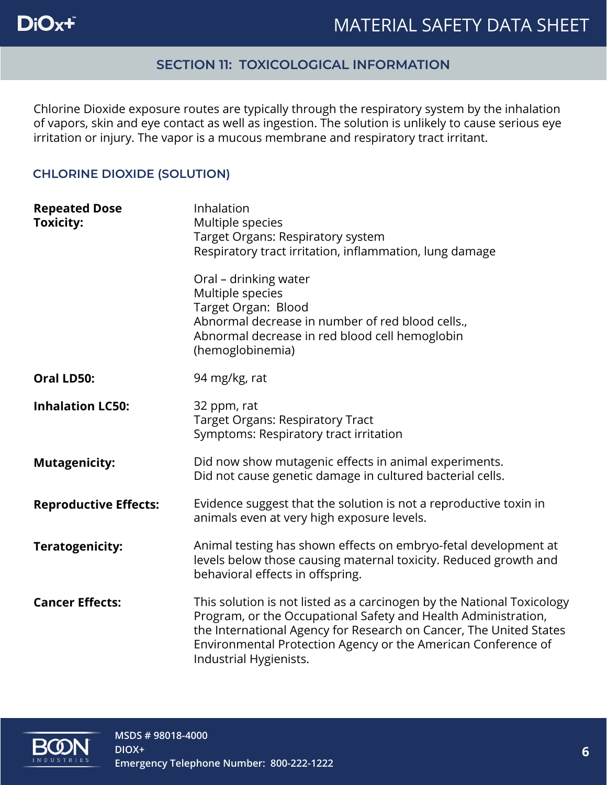#### **SECTION 11: TOXICOLOGICAL INFORMATION**

Chlorine Dioxide exposure routes are typically through the respiratory system by the inhalation of vapors, skin and eye contact as well as ingestion. The solution is unlikely to cause serious eye irritation or injury. The vapor is a mucous membrane and respiratory tract irritant.

#### **CHLORINE DIOXIDE (SOLUTION)**

| <b>Repeated Dose</b><br><b>Toxicity:</b> | Inhalation<br>Multiple species<br>Target Organs: Respiratory system<br>Respiratory tract irritation, inflammation, lung damage                                                                                                                                                                            |
|------------------------------------------|-----------------------------------------------------------------------------------------------------------------------------------------------------------------------------------------------------------------------------------------------------------------------------------------------------------|
|                                          | Oral - drinking water<br>Multiple species<br>Target Organ: Blood<br>Abnormal decrease in number of red blood cells.,<br>Abnormal decrease in red blood cell hemoglobin<br>(hemoglobinemia)                                                                                                                |
| Oral LD50:                               | 94 mg/kg, rat                                                                                                                                                                                                                                                                                             |
| <b>Inhalation LC50:</b>                  | 32 ppm, rat<br><b>Target Organs: Respiratory Tract</b><br>Symptoms: Respiratory tract irritation                                                                                                                                                                                                          |
| <b>Mutagenicity:</b>                     | Did now show mutagenic effects in animal experiments.<br>Did not cause genetic damage in cultured bacterial cells.                                                                                                                                                                                        |
| <b>Reproductive Effects:</b>             | Evidence suggest that the solution is not a reproductive toxin in<br>animals even at very high exposure levels.                                                                                                                                                                                           |
| Teratogenicity:                          | Animal testing has shown effects on embryo-fetal development at<br>levels below those causing maternal toxicity. Reduced growth and<br>behavioral effects in offspring.                                                                                                                                   |
| <b>Cancer Effects:</b>                   | This solution is not listed as a carcinogen by the National Toxicology<br>Program, or the Occupational Safety and Health Administration,<br>the International Agency for Research on Cancer, The United States<br>Environmental Protection Agency or the American Conference of<br>Industrial Hygienists. |

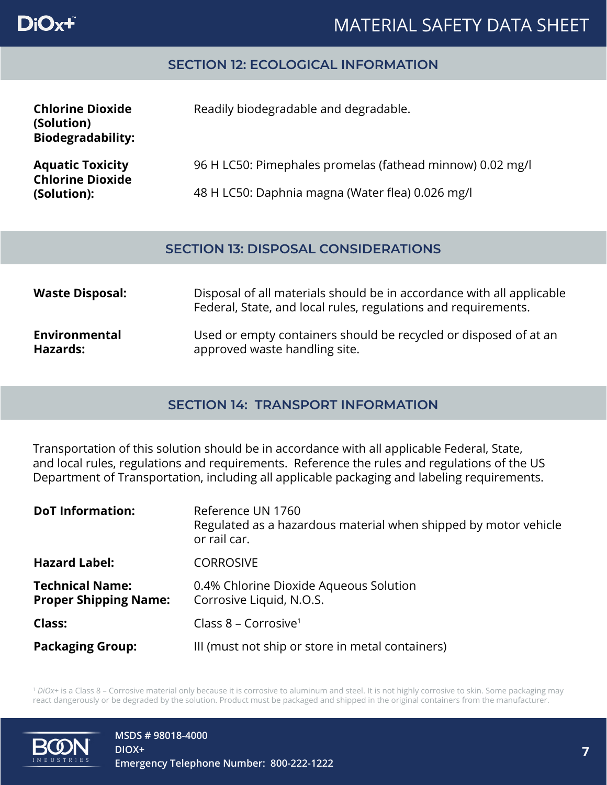

### MATERIAL SAFETY DATA SHEET

#### **SECTION 12: ECOLOGICAL INFORMATION**

| <b>Chlorine Dioxide</b><br>(Solution)<br><b>Biodegradability:</b> | Readily biodegradable and degradable.                     |
|-------------------------------------------------------------------|-----------------------------------------------------------|
| <b>Aquatic Toxicity</b><br><b>Chlorine Dioxide</b>                | 96 H LC50: Pimephales promelas (fathead minnow) 0.02 mg/l |
| (Solution):                                                       | 48 H LC50: Daphnia magna (Water flea) 0.026 mg/l          |

#### **SECTION 13: DISPOSAL CONSIDERATIONS**

| <b>Waste Disposal:</b> | Disposal of all materials should be in accordance with all applicable<br>Federal, State, and local rules, regulations and requirements. |
|------------------------|-----------------------------------------------------------------------------------------------------------------------------------------|
| Environmental          | Used or empty containers should be recycled or disposed of at an                                                                        |
| Hazards:               | approved waste handling site.                                                                                                           |

#### **SECTION 14: TRANSPORT INFORMATION**

Transportation of this solution should be in accordance with all applicable Federal, State, and local rules, regulations and requirements. Reference the rules and regulations of the US Department of Transportation, including all applicable packaging and labeling requirements.

| <b>DoT Information:</b>                                | Reference UN 1760<br>Regulated as a hazardous material when shipped by motor vehicle<br>or rail car. |
|--------------------------------------------------------|------------------------------------------------------------------------------------------------------|
| <b>Hazard Label:</b>                                   | <b>CORROSIVE</b>                                                                                     |
| <b>Technical Name:</b><br><b>Proper Shipping Name:</b> | 0.4% Chlorine Dioxide Aqueous Solution<br>Corrosive Liquid, N.O.S.                                   |
| <b>Class:</b>                                          | Class 8 – Corrosive <sup>1</sup>                                                                     |
| <b>Packaging Group:</b>                                | III (must not ship or store in metal containers)                                                     |

<sup>1</sup> *DiOx+* is a Class 8 – Corrosive material only because it is corrosive to aluminum and steel. It is not highly corrosive to skin. Some packaging may react dangerously or be degraded by the solution. Product must be packaged and shipped in the original containers from the manufacturer.